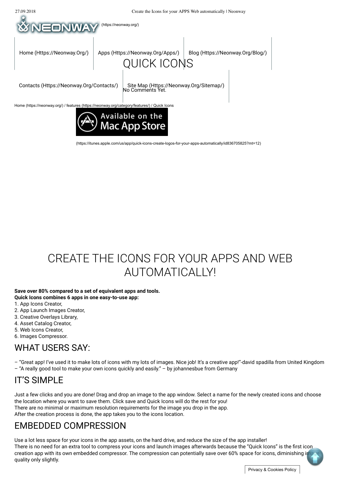

(https://itunes.apple.com/us/app/quick-icons-create-logos-for-your-apps-automatically/id836705825?mt=12)

# CREATE THE ICONS FOR YOUR APPS AND WEB AUTOMATICAL IY!

#### **Save over 80% compared to a set of equivalent apps and tools. Quick Icons combines 6 apps in one easy-to-use app:**

- 1. App Icons Creator,
- 2. App Launch Images Creator,
- 3. Creative Overlays Library,
- 4. Asset Catalog Creator,
- 5. Web Icons Creator,
- 6. Images Compressor.

### WHAT USERS SAY:

– "Great app! I've used it to make lots of icons with my lots of images. Nice job! It's a creative app!"-david spadilla from United Kingdom – "A really good tool to make your own icons quickly and easily." – by johannesbue from Germany

#### IT'S SIMPLE

Just a few clicks and you are done! Drag and drop an image to the app window. Select a name for the newly created icons and choose the location where you want to save them. Click save and Quick Icons will do the rest for you! There are no minimal or maximum resolution requirements for the image you drop in the app. After the creation process is done, the app takes you to the icons location.

### EMBEDDED COMPRESSION

Use a lot less space for your icons in the app assets, on the hard drive, and reduce the size of the app installer! There is no need for an extra tool to compress your icons and launch images afterwards because the "Quick Icons" is the first icon creation app with its own embedded compressor. The compression can potentially save over 60% space for icons, diminishing imquality only slightly.

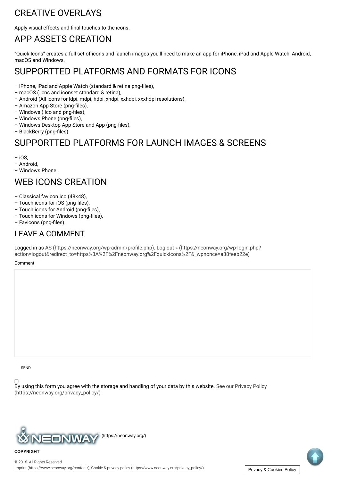## 27.09.2018 Create the Icons for your APPS Web automatically | Neonway CREATIVE OVERLAYS

Apply visual effects and final touches to the icons.

# APP ASSETS CREATION

"Quick Icons" creates a full set of icons and launch images you'll need to make an app for iPhone, iPad and Apple Watch, Android, macOS and Windows.

## SUPPORTTED PLATFORMS AND FORMATS FOR ICONS

- iPhone, iPad and Apple Watch (standard & retina png-files),
- macOS (.icns and iconset standard & retina),
- Android (All icons for ldpi, mdpi, hdpi, xhdpi, xxhdpi, xxxhdpi resolutions),
- Amazon App Store (png-files),
- Windows (.ico and png-files),
- Windows Phone (png-files),
- Windows Desktop App Store and App (png-files).
- BlackBerry (png-files).

## SUPPORTTED PLATFORMS FOR LAUNCH IMAGES & SCREENS

– iOS,

- Android,
- Windows Phone.

### WEB ICONS CREATION

- Classical favicon.ico (48×48),
- Touch icons for iOS (png-files),
- Touch icons for Android (png-files),
- Touch icons for Windows (png-files),
- Favicons (png-files).

#### LEAVE A COMMENT

Logged in as AS (https://neonway.org/wp-admin/profile.php). Log out » (https://neonway.org/wp-login.php? action=logout&redirect\_to=https%3A%2F%2Fneonway.org%2Fquickicons%2F&\_wpnonce=a38feeb22e)

Comment

**SEND** 

**COPYRIGHT**

By using this form you agree with the storage and handling of your data by this website. See our Privacy Policy (https://neonway.org/privacy\_policy/)



Imprint (https://www.neonway.org/contact/), Cookie & privacy policy (https://www.neonway.org/privacy\_policy/), Privacy & Cookies Policy © 2018. All Rights Reserved